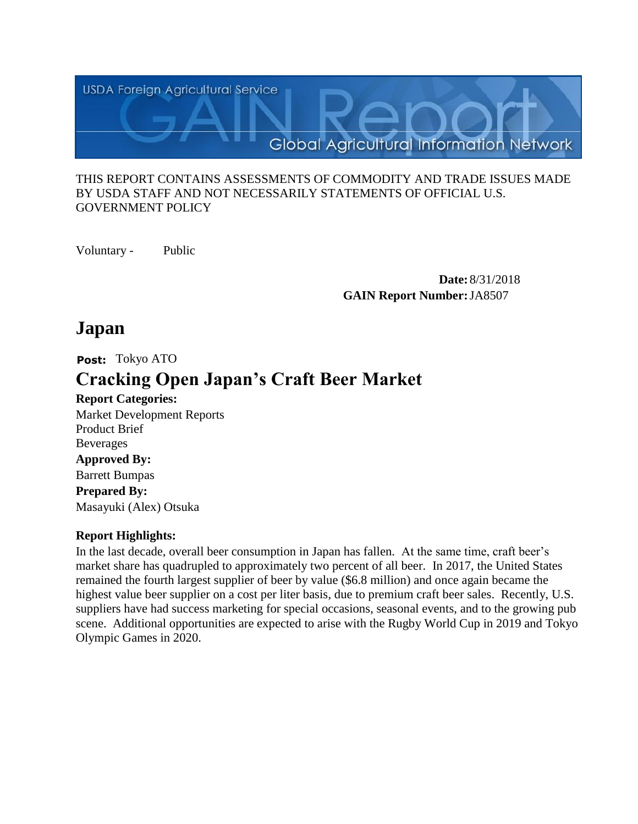

#### THIS REPORT CONTAINS ASSESSMENTS OF COMMODITY AND TRADE ISSUES MADE BY USDA STAFF AND NOT NECESSARILY STATEMENTS OF OFFICIAL U.S. GOVERNMENT POLICY

Voluntary - Public

**Date:** 8/31/2018 **GAIN Report Number:**JA8507

## **Japan**

**Post:** Tokyo ATO

# **Cracking Open Japan's Craft Beer Market**

**Report Categories:**

Market Development Reports Product Brief Beverages **Approved By:**  Barrett Bumpas **Prepared By:**  Masayuki (Alex) Otsuka

## **Report Highlights:**

In the last decade, overall beer consumption in Japan has fallen. At the same time, craft beer's market share has quadrupled to approximately two percent of all beer. In 2017, the United States remained the fourth largest supplier of beer by value (\$6.8 million) and once again became the highest value beer supplier on a cost per liter basis, due to premium craft beer sales. Recently, U.S. suppliers have had success marketing for special occasions, seasonal events, and to the growing pub scene. Additional opportunities are expected to arise with the Rugby World Cup in 2019 and Tokyo Olympic Games in 2020.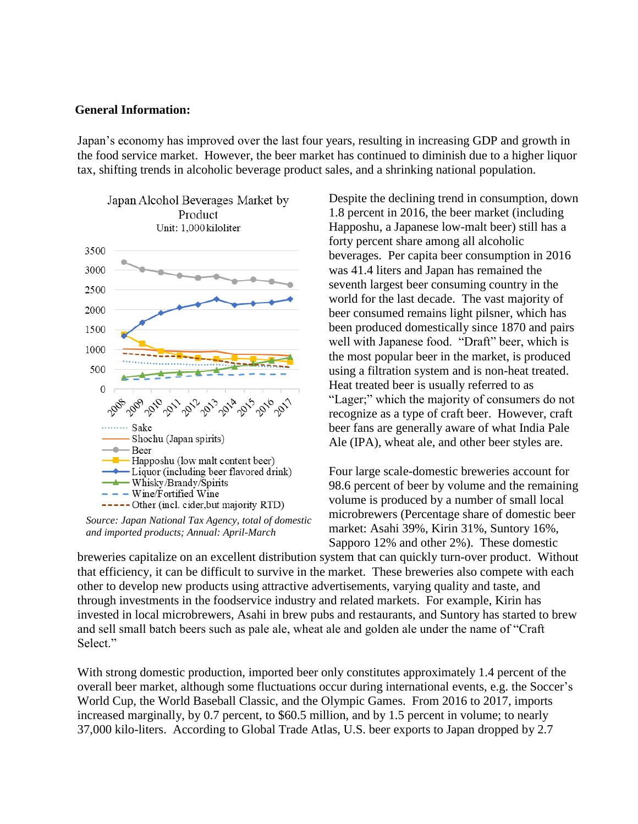#### **General Information:**

Japan's economy has improved over the last four years, resulting in increasing GDP and growth in the food service market. However, the beer market has continued to diminish due to a higher liquor tax, shifting trends in alcoholic beverage product sales, and a shrinking national population.



Japan Alcohol Beverages Market by

*Source: Japan National Tax Agency, total of domestic and imported products; Annual: April-March*

Despite the declining trend in consumption, down 1.8 percent in 2016, the beer market (including Happoshu, a Japanese low-malt beer) still has a forty percent share among all alcoholic beverages. Per capita beer consumption in 2016 was 41.4 liters and Japan has remained the seventh largest beer consuming country in the world for the last decade. The vast majority of beer consumed remains light pilsner, which has been produced domestically since 1870 and pairs well with Japanese food. "Draft" beer, which is the most popular beer in the market, is produced using a filtration system and is non-heat treated. Heat treated beer is usually referred to as "Lager;" which the majority of consumers do not recognize as a type of craft beer. However, craft beer fans are generally aware of what India Pale Ale (IPA), wheat ale, and other beer styles are.

Four large scale-domestic breweries account for 98.6 percent of beer by volume and the remaining volume is produced by a number of small local microbrewers (Percentage share of domestic beer market: Asahi 39%, Kirin 31%, Suntory 16%, Sapporo 12% and other 2%). These domestic

breweries capitalize on an excellent distribution system that can quickly turn-over product. Without that efficiency, it can be difficult to survive in the market. These breweries also compete with each other to develop new products using attractive advertisements, varying quality and taste, and through investments in the foodservice industry and related markets. For example, Kirin has invested in local microbrewers, Asahi in brew pubs and restaurants, and Suntory has started to brew and sell small batch beers such as pale ale, wheat ale and golden ale under the name of "Craft Select."

With strong domestic production, imported beer only constitutes approximately 1.4 percent of the overall beer market, although some fluctuations occur during international events, e.g. the Soccer's World Cup, the World Baseball Classic, and the Olympic Games. From 2016 to 2017, imports increased marginally, by 0.7 percent, to \$60.5 million, and by 1.5 percent in volume; to nearly 37,000 kilo-liters. According to Global Trade Atlas, U.S. beer exports to Japan dropped by 2.7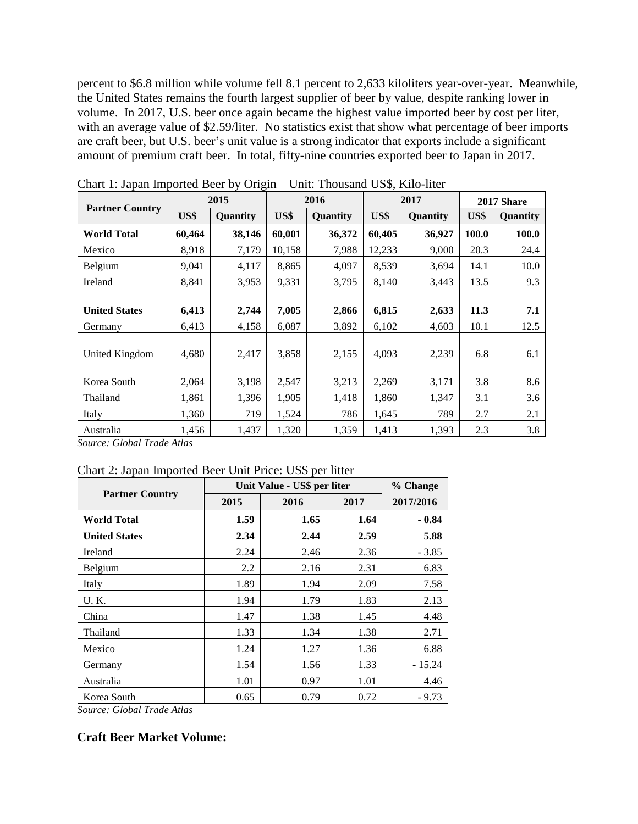percent to \$6.8 million while volume fell 8.1 percent to 2,633 kiloliters year-over-year. Meanwhile, the United States remains the fourth largest supplier of beer by value, despite ranking lower in volume. In 2017, U.S. beer once again became the highest value imported beer by cost per liter, with an average value of \$2.59/liter. No statistics exist that show what percentage of beer imports are craft beer, but U.S. beer's unit value is a strong indicator that exports include a significant amount of premium craft beer. In total, fifty-nine countries exported beer to Japan in 2017.

|                        | 2015   |          | 2016   |                 | 2017   |          | 2017 Share   |                 |
|------------------------|--------|----------|--------|-----------------|--------|----------|--------------|-----------------|
| <b>Partner Country</b> | US\$   | Quantity | US\$   | <b>Quantity</b> | US\$   | Quantity | US\$         | <b>Quantity</b> |
| <b>World Total</b>     | 60,464 | 38,146   | 60,001 | 36,372          | 60,405 | 36,927   | <b>100.0</b> | 100.0           |
| Mexico                 | 8,918  | 7,179    | 10,158 | 7,988           | 12,233 | 9,000    | 20.3         | 24.4            |
| Belgium                | 9,041  | 4,117    | 8,865  | 4,097           | 8,539  | 3,694    | 14.1         | 10.0            |
| Ireland                | 8,841  | 3,953    | 9,331  | 3,795           | 8,140  | 3,443    | 13.5         | 9.3             |
|                        |        |          |        |                 |        |          |              |                 |
| <b>United States</b>   | 6,413  | 2,744    | 7,005  | 2.866           | 6,815  | 2,633    | 11.3         | 7.1             |
| Germany                | 6,413  | 4,158    | 6,087  | 3,892           | 6,102  | 4,603    | 10.1         | 12.5            |
|                        |        |          |        |                 |        |          |              |                 |
| United Kingdom         | 4,680  | 2,417    | 3,858  | 2,155           | 4,093  | 2,239    | 6.8          | 6.1             |
| Korea South            | 2,064  | 3,198    | 2,547  | 3,213           | 2,269  | 3,171    | 3.8          | 8.6             |
| Thailand               | 1,861  | 1,396    | 1,905  | 1,418           | 1,860  | 1,347    | 3.1          | 3.6             |
| Italy                  | 1,360  | 719      | 1,524  | 786             | 1,645  | 789      | 2.7          | 2.1             |
| Australia              | 1,456  | 1,437    | 1,320  | 1,359           | 1,413  | 1,393    | 2.3          | 3.8             |

Chart 1: Japan Imported Beer by Origin – Unit: Thousand US\$, Kilo-liter

*Source: Global Trade Atlas*

Chart 2: Japan Imported Beer Unit Price: US\$ per litter

|                        | Unit Value - US\$ per liter | % Change |      |           |  |
|------------------------|-----------------------------|----------|------|-----------|--|
| <b>Partner Country</b> | 2015                        | 2016     | 2017 | 2017/2016 |  |
| World Total            | 1.59                        | 1.65     | 1.64 | $-0.84$   |  |
| <b>United States</b>   | 2.34                        | 2.44     | 2.59 | 5.88      |  |
| Ireland                | 2.24                        | 2.46     | 2.36 | $-3.85$   |  |
| Belgium                | 2.2                         | 2.16     | 2.31 | 6.83      |  |
| Italy                  | 1.89                        | 1.94     | 2.09 | 7.58      |  |
| U.K.                   | 1.94                        | 1.79     | 1.83 | 2.13      |  |
| China                  | 1.47                        | 1.38     | 1.45 | 4.48      |  |
| Thailand               | 1.33                        | 1.34     | 1.38 | 2.71      |  |
| Mexico                 | 1.24                        | 1.27     | 1.36 | 6.88      |  |
| Germany                | 1.54                        | 1.56     | 1.33 | $-15.24$  |  |
| Australia              | 1.01                        | 0.97     | 1.01 | 4.46      |  |
| Korea South            | 0.65                        | 0.79     | 0.72 | - 9.73    |  |

*Source: Global Trade Atlas*

#### **Craft Beer Market Volume:**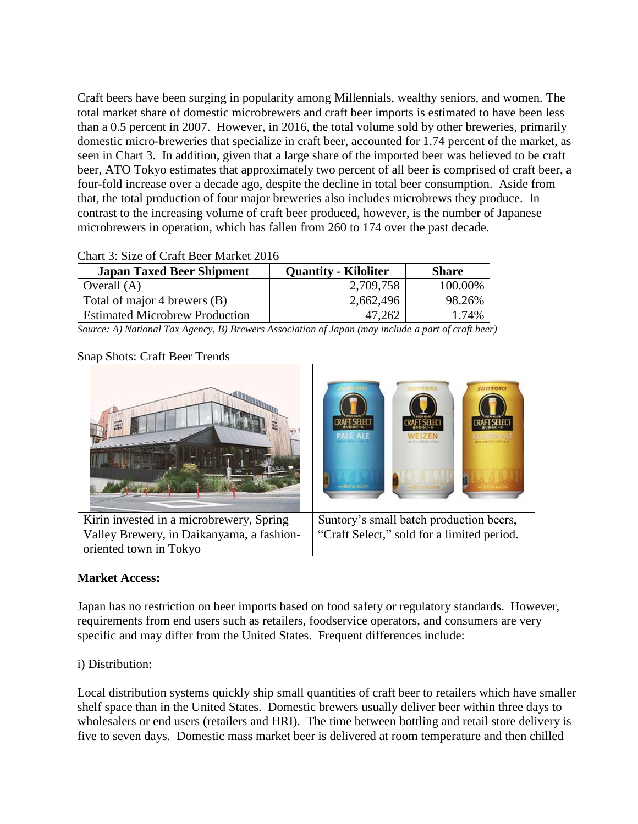Craft beers have been surging in popularity among Millennials, wealthy seniors, and women. The total market share of domestic microbrewers and craft beer imports is estimated to have been less than a 0.5 percent in 2007. However, in 2016, the total volume sold by other breweries, primarily domestic micro-breweries that specialize in craft beer, accounted for 1.74 percent of the market, as seen in Chart 3. In addition, given that a large share of the imported beer was believed to be craft beer, ATO Tokyo estimates that approximately two percent of all beer is comprised of craft beer, a four-fold increase over a decade ago, despite the decline in total beer consumption. Aside from that, the total production of four major breweries also includes microbrews they produce. In contrast to the increasing volume of craft beer produced, however, is the number of Japanese microbrewers in operation, which has fallen from 260 to 174 over the past decade.

#### Chart 3: Size of Craft Beer Market 2016

| <b>Japan Taxed Beer Shipment</b>      | <b>Quantity - Kiloliter</b> | <b>Share</b> |
|---------------------------------------|-----------------------------|--------------|
| Overall $(A)$                         | 2,709,758                   | 100.00%      |
| Total of major 4 brewers (B)          | 2,662,496                   | 98.26%       |
| <b>Estimated Microbrew Production</b> | 47.262                      | 1.74%        |

*Source: A) National Tax Agency, B) Brewers Association of Japan (may include a part of craft beer)*

#### Snap Shots: Craft Beer Trends



## **Market Access:**

Japan has no restriction on beer imports based on food safety or regulatory standards. However, requirements from end users such as retailers, foodservice operators, and consumers are very specific and may differ from the United States. Frequent differences include:

i) Distribution:

Local distribution systems quickly ship small quantities of craft beer to retailers which have smaller shelf space than in the United States. Domestic brewers usually deliver beer within three days to wholesalers or end users (retailers and HRI). The time between bottling and retail store delivery is five to seven days. Domestic mass market beer is delivered at room temperature and then chilled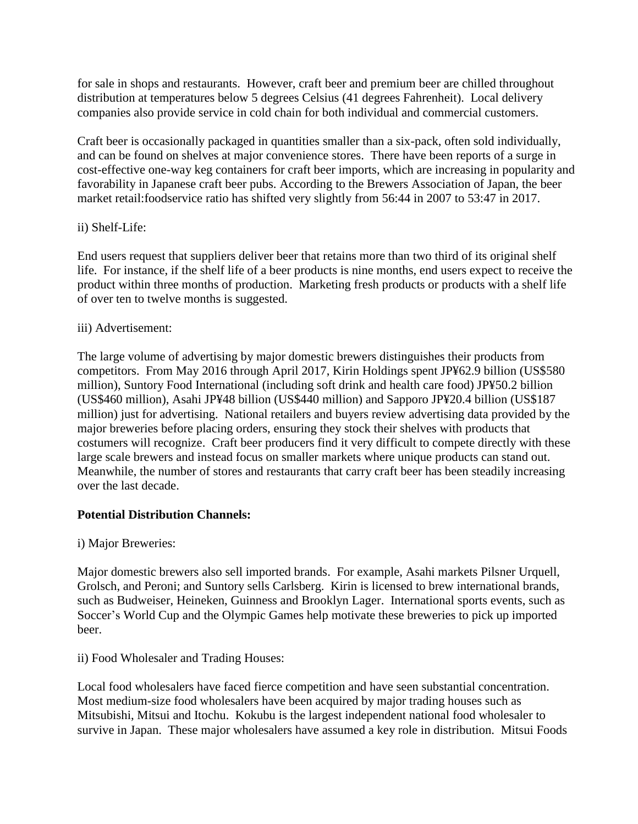for sale in shops and restaurants. However, craft beer and premium beer are chilled throughout distribution at temperatures below 5 degrees Celsius (41 degrees Fahrenheit). Local delivery companies also provide service in cold chain for both individual and commercial customers.

Craft beer is occasionally packaged in quantities smaller than a six-pack, often sold individually, and can be found on shelves at major convenience stores. There have been reports of a surge in cost-effective one-way keg containers for craft beer imports, which are increasing in popularity and favorability in Japanese craft beer pubs. According to the Brewers Association of Japan, the beer market retail:foodservice ratio has shifted very slightly from 56:44 in 2007 to 53:47 in 2017.

#### ii) Shelf-Life:

End users request that suppliers deliver beer that retains more than two third of its original shelf life. For instance, if the shelf life of a beer products is nine months, end users expect to receive the product within three months of production. Marketing fresh products or products with a shelf life of over ten to twelve months is suggested.

#### iii) Advertisement:

The large volume of advertising by major domestic brewers distinguishes their products from competitors. From May 2016 through April 2017, Kirin Holdings spent JP¥62.9 billion (US\$580 million), Suntory Food International (including soft drink and health care food) JP¥50.2 billion (US\$460 million), Asahi JP¥48 billion (US\$440 million) and Sapporo JP¥20.4 billion (US\$187 million) just for advertising. National retailers and buyers review advertising data provided by the major breweries before placing orders, ensuring they stock their shelves with products that costumers will recognize. Craft beer producers find it very difficult to compete directly with these large scale brewers and instead focus on smaller markets where unique products can stand out. Meanwhile, the number of stores and restaurants that carry craft beer has been steadily increasing over the last decade.

## **Potential Distribution Channels:**

i) Major Breweries:

Major domestic brewers also sell imported brands. For example, Asahi markets Pilsner Urquell, Grolsch, and Peroni; and Suntory sells Carlsberg. Kirin is licensed to brew international brands, such as Budweiser, Heineken, Guinness and Brooklyn Lager. International sports events, such as Soccer's World Cup and the Olympic Games help motivate these breweries to pick up imported beer.

ii) Food Wholesaler and Trading Houses:

Local food wholesalers have faced fierce competition and have seen substantial concentration. Most medium-size food wholesalers have been acquired by major trading houses such as Mitsubishi, Mitsui and Itochu. Kokubu is the largest independent national food wholesaler to survive in Japan. These major wholesalers have assumed a key role in distribution. Mitsui Foods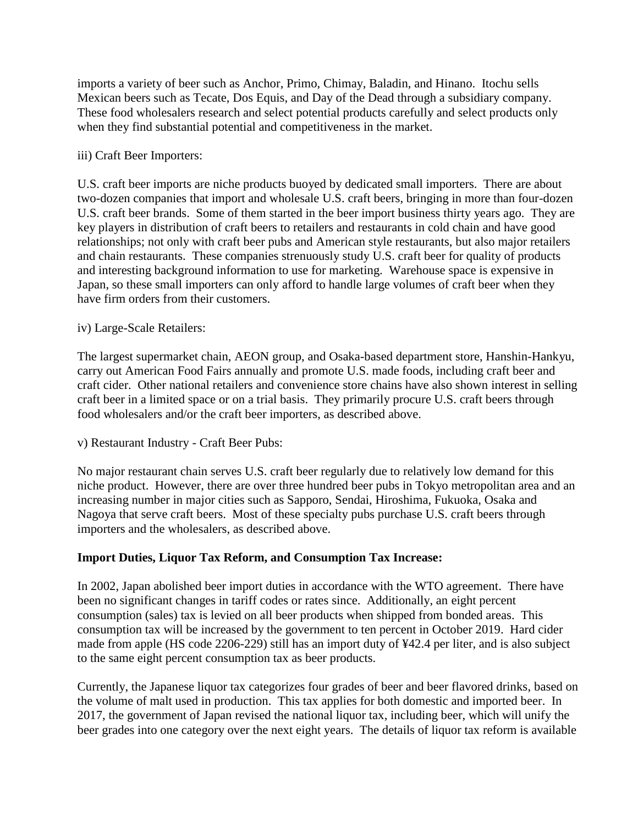imports a variety of beer such as Anchor, Primo, Chimay, Baladin, and Hinano. Itochu sells Mexican beers such as Tecate, Dos Equis, and Day of the Dead through a subsidiary company. These food wholesalers research and select potential products carefully and select products only when they find substantial potential and competitiveness in the market.

### iii) Craft Beer Importers:

U.S. craft beer imports are niche products buoyed by dedicated small importers. There are about two-dozen companies that import and wholesale U.S. craft beers, bringing in more than four-dozen U.S. craft beer brands. Some of them started in the beer import business thirty years ago. They are key players in distribution of craft beers to retailers and restaurants in cold chain and have good relationships; not only with craft beer pubs and American style restaurants, but also major retailers and chain restaurants. These companies strenuously study U.S. craft beer for quality of products and interesting background information to use for marketing. Warehouse space is expensive in Japan, so these small importers can only afford to handle large volumes of craft beer when they have firm orders from their customers.

#### iv) Large-Scale Retailers:

The largest supermarket chain, AEON group, and Osaka-based department store, Hanshin-Hankyu, carry out American Food Fairs annually and promote U.S. made foods, including craft beer and craft cider. Other national retailers and convenience store chains have also shown interest in selling craft beer in a limited space or on a trial basis. They primarily procure U.S. craft beers through food wholesalers and/or the craft beer importers, as described above.

v) Restaurant Industry - Craft Beer Pubs:

No major restaurant chain serves U.S. craft beer regularly due to relatively low demand for this niche product. However, there are over three hundred beer pubs in Tokyo metropolitan area and an increasing number in major cities such as Sapporo, Sendai, Hiroshima, Fukuoka, Osaka and Nagoya that serve craft beers. Most of these specialty pubs purchase U.S. craft beers through importers and the wholesalers, as described above.

## **Import Duties, Liquor Tax Reform, and Consumption Tax Increase:**

In 2002, Japan abolished beer import duties in accordance with the WTO agreement. There have been no significant changes in tariff codes or rates since. Additionally, an eight percent consumption (sales) tax is levied on all beer products when shipped from bonded areas. This consumption tax will be increased by the government to ten percent in October 2019. Hard cider made from apple (HS code 2206-229) still has an import duty of ¥42.4 per liter, and is also subject to the same eight percent consumption tax as beer products.

Currently, the Japanese liquor tax categorizes four grades of beer and beer flavored drinks, based on the volume of malt used in production. This tax applies for both domestic and imported beer. In 2017, the government of Japan revised the national liquor tax, including beer, which will unify the beer grades into one category over the next eight years. The details of liquor tax reform is available